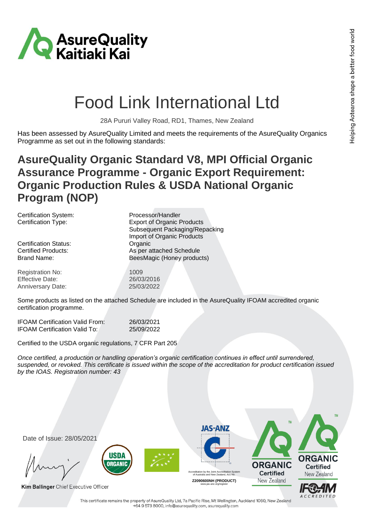

## Food Link International Ltd

28A Pururi Valley Road, RD1, Thames, New Zealand

Has been assessed by AsureQuality Limited and meets the requirements of the AsureQuality Organics Programme as set out in the following standards:

## **AsureQuality Organic Standard V8, MPI Official Organic Assurance Programme - Organic Export Requirement: Organic Production Rules & USDA National Organic Program (NOP)**

Certification System: Processor/Handler

Certification Status: Certification Status:

Registration No: 1009 Effective Date: 26/03/2016 Anniversary Date: 25/03/2022

Certification Type: Export of Organic Products Subsequent Packaging/Repacking Import of Organic Products Certified Products: As per attached Schedule Brand Name: BeesMagic (Honey products)

Some products as listed on the attached Schedule are included in the AsureQuality IFOAM accredited organic certification programme.

IFOAM Certification Valid From: 26/03/2021 IFOAM Certification Valid To: 25/09/2022

Certified to the USDA organic regulations, 7 CFR Part 205

*Once certified, a production or handling operation's organic certification continues in effect until surrendered, suspended, or revoked. This certificate is issued within the scope of the accreditation for product certification issued by the IOAS. Registration number: 43*



This certificate remains the property of AsureQuality Ltd, 7a Pacific Rise, Mt Wellington, Auckland 1060, New Zealand +64 9 573 8000, info@asurequality.com, asurequality.com